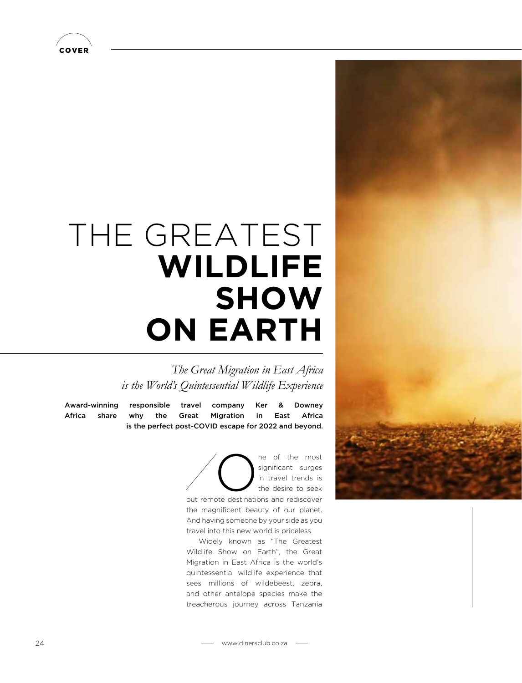

# THE GREATEST **WILDLIFE SHOW ON EARTH**

*The Great Migration in East Africa is the World's Quintessential Wildlife Experience*

Award-winning responsible travel company Ker & Downey Africa share why the Great Migration in East Africa is the perfect post-COVID escape for 2022 and beyond.

> The of the most<br>
> significant surges<br>
> in travel trends is<br>
> the desire to seek<br>
> ato seek<br>
> the desire to seek<br>
> ato seek<br>
> in travel rediscover significant surges in travel trends is out remote destinations and rediscover the magnificent beauty of our planet. And having someone by your side as you travel into this new world is priceless.

Widely known as "The Greatest Wildlife Show on Earth", the Great Migration in East Africa is the world's quintessential wildlife experience that sees millions of wildebeest, zebra, and other antelope species make the treacherous journey across Tanzania

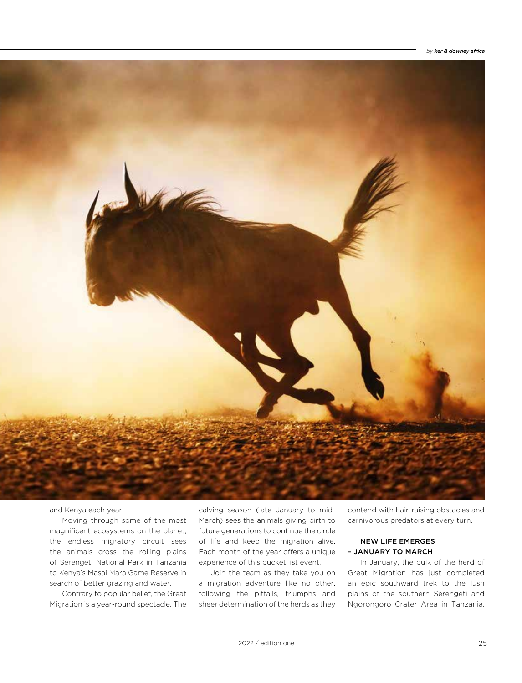

and Kenya each year.

Moving through some of the most magnificent ecosystems on the planet, the endless migratory circuit sees the animals cross the rolling plains of Serengeti National Park in Tanzania to Kenya's Masai Mara Game Reserve in search of better grazing and water.

Contrary to popular belief, the Great Migration is a year-round spectacle. The calving season (late January to mid-March) sees the animals giving birth to future generations to continue the circle of life and keep the migration alive. Each month of the year offers a unique experience of this bucket list event.

Join the team as they take you on a migration adventure like no other, following the pitfalls, triumphs and sheer determination of the herds as they contend with hair-raising obstacles and carnivorous predators at every turn.

## NEW LIFE EMERGES – JANUARY TO MARCH

In January, the bulk of the herd of Great Migration has just completed an epic southward trek to the lush plains of the southern Serengeti and Ngorongoro Crater Area in Tanzania.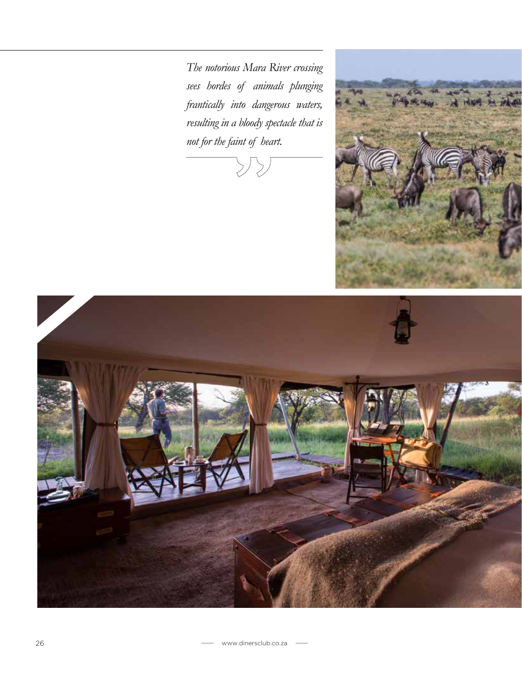*The notorious Mara River crossing sees hordes of animals plunging frantically into dangerous waters, resulting in a bloody spectacle that is not for the faint of heart.*

<u>уљ, </u>



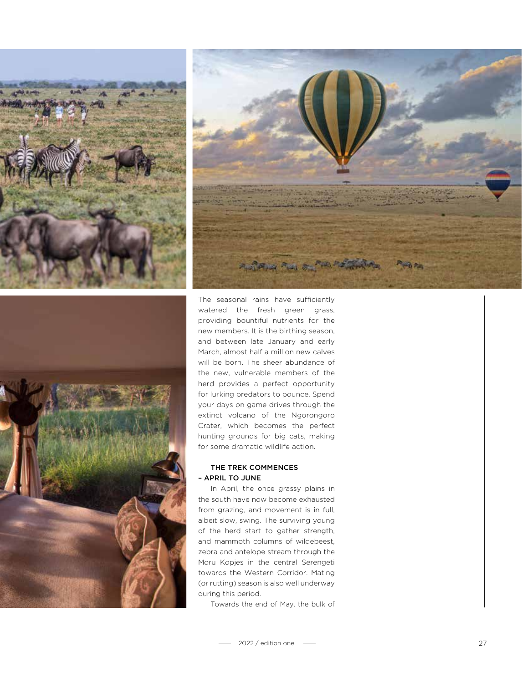





The seasonal rains have sufficiently watered the fresh green grass, providing bountiful nutrients for the new members. It is the birthing season, and between late January and early March, almost half a million new calves will be born. The sheer abundance of the new, vulnerable members of the herd provides a perfect opportunity for lurking predators to pounce. Spend your days on game drives through the extinct volcano of the Ngorongoro Crater, which becomes the perfect hunting grounds for big cats, making for some dramatic wildlife action.

## THE TREK COMMENCES – APRIL TO JUNE

In April, the once grassy plains in the south have now become exhausted from grazing, and movement is in full, albeit slow, swing. The surviving young of the herd start to gather strength, and mammoth columns of wildebeest, zebra and antelope stream through the Moru Kopjes in the central Serengeti towards the Western Corridor. Mating (or rutting) season is also well underway during this period.

Towards the end of May, the bulk of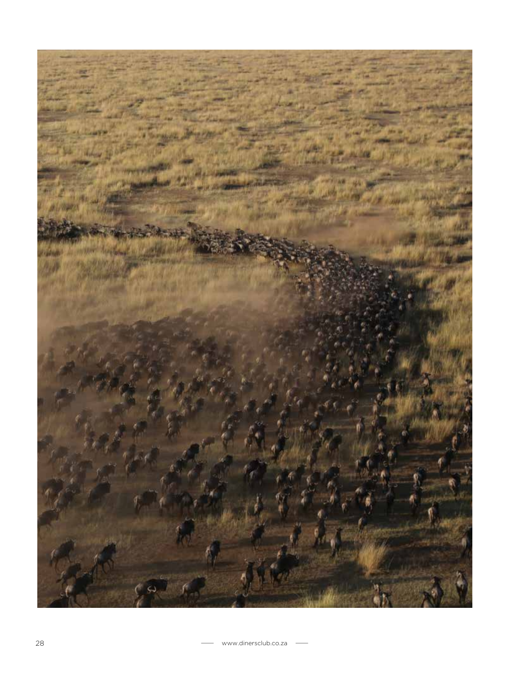